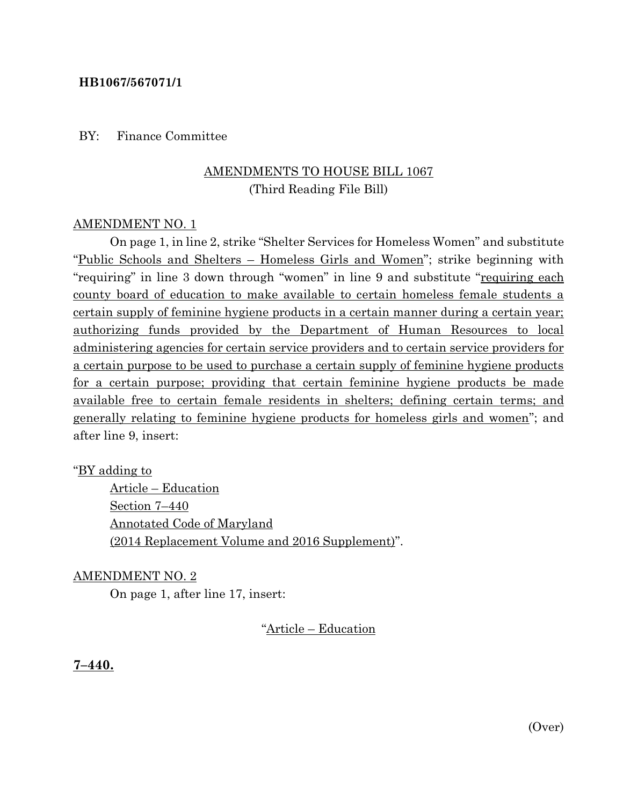## **HB1067/567071/1**

### BY: Finance Committee

# AMENDMENTS TO HOUSE BILL 1067 (Third Reading File Bill)

### AMENDMENT NO. 1

On page 1, in line 2, strike "Shelter Services for Homeless Women" and substitute "Public Schools and Shelters – Homeless Girls and Women"; strike beginning with "requiring" in line 3 down through "women" in line 9 and substitute "requiring each county board of education to make available to certain homeless female students a certain supply of feminine hygiene products in a certain manner during a certain year; authorizing funds provided by the Department of Human Resources to local administering agencies for certain service providers and to certain service providers for a certain purpose to be used to purchase a certain supply of feminine hygiene products for a certain purpose; providing that certain feminine hygiene products be made available free to certain female residents in shelters; defining certain terms; and generally relating to feminine hygiene products for homeless girls and women"; and after line 9, insert:

## "**BY** adding to

Article – Education Section 7–440 Annotated Code of Maryland (2014 Replacement Volume and 2016 Supplement)".

#### AMENDMENT NO. 2

On page 1, after line 17, insert:

"Article – Education

**7–440.**